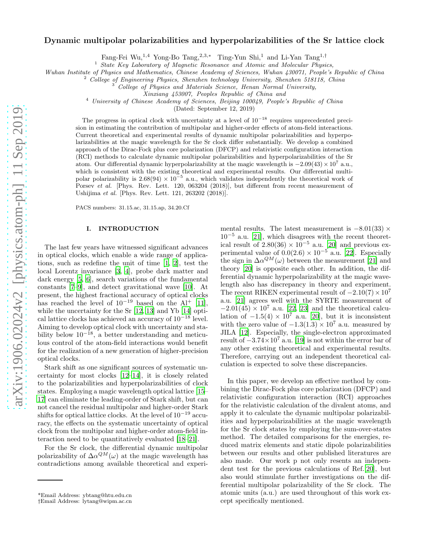# Dynamic multipolar polarizabilities and hyperpolarizabilities of the Sr lattice clock

Fang-Fei Wu,<sup>1</sup>,<sup>4</sup> Yong-Bo Tang,<sup>2</sup>,3,<sup>∗</sup> Ting-Yun Shi,<sup>1</sup> and Li-Yan Tang<sup>1</sup>,†

<sup>1</sup> State Key Laboratory of Magnetic Resonance and Atomic and Molecular Physics,

Wuhan Institute of Physics and Mathematics, Chinese Academy of Sciences, Wuhan 430071, People's Republic of China

<sup>2</sup> College of Engineering Physics, Shenzhen technology University, Shenzhen 518118, China

<sup>3</sup> College of Physics and Materials Science, Henan Normal University,

Xinxiang 453007, Peoples Republic of China and

<sup>4</sup> University of Chinese Academy of Sciences, Beijing 100049, People's Republic of China

(Dated: September 12, 2019)

The progress in optical clock with uncertainty at a level of  $10^{-18}$  requires unprecedented precision in estimating the contribution of multipolar and higher-order effects of atom-field interactions. Current theoretical and experimental results of dynamic multipolar polarizabilities and hyperpolarizabilities at the magic wavelength for the Sr clock differ substantially. We develop a combined approach of the Dirac-Fock plus core polarization (DFCP) and relativistic configuration interaction (RCI) methods to calculate dynamic multipolar polarizabilities and hyperpolarizabilities of the Sr atom. Our differential dynamic hyperpolarizability at the magic wavelength is  $-2.09(43) \times 10^7$  a.u., which is consistent with the existing theoretical and experimental results. Our differential multipolar polarizability is 2.68(94)  $\times$  10<sup>-5</sup> a.u., which validates independently the theoretical work of Porsev et al. [Phys. Rev. Lett. 120, 063204 (2018)], but different from recent measurement of Ushijima et al. [Phys. Rev. Lett. 121, 263202 (2018)].

PACS numbers: 31.15.ac, 31.15.ap, 34.20.Cf

## I. INTRODUCTION

The last few years have witnessed significant advances in optical clocks, which enable a wide range of applications, such as redefine the unit of time [\[1](#page-5-0), [2\]](#page-5-1), test the local Lorentz invariance [\[3,](#page-5-2) [4](#page-5-3)], probe dark matter and dark energy [\[5,](#page-5-4) [6\]](#page-5-5), search variations of the fundamental constants [\[7](#page-5-6)[–9\]](#page-5-7), and detect gravitational wave [\[10](#page-5-8)]. At present, the highest fractional accuracy of optical clocks has reached the level of  $10^{-19}$  based on the Al<sup>+</sup> [\[11\]](#page-5-9), while the uncertainty for the Sr [\[12,](#page-5-10) [13](#page-5-11)] and Yb [\[14\]](#page-5-12) optical lattice clocks has achieved an accuracy of 10<sup>−</sup><sup>18</sup> level. Aiming to develop optical clock with uncertainty and stability below  $10^{-18}$ , a better understanding and meticulous control of the atom-field interactions would benefit for the realization of a new generation of higher-precision optical clocks.

Stark shift as one significant sources of systematic uncertainty for most clocks [\[12](#page-5-10)[–14](#page-5-12)], it is closely related to the polarizabilities and hyperpolarizabilities of clock states. Employing a magic wavelength optical lattice [\[15](#page-5-13)– [17\]](#page-5-14) can eliminate the leading-order of Stark shift, but can not cancel the residual multipolar and higher-order Stark shifts for optical lattice clocks. At the level of 10−<sup>19</sup> accuracy, the effects on the systematic uncertainty of optical clock from the multipolar and higher-order atom-field interaction need to be quantitatively evaluated [\[18](#page-5-15)[–21](#page-5-16)].

For the Sr clock, the differential dynamic multipolar polarizability of  $\Delta \alpha^{QM}(\omega)$  at the magic wavelength has contradictions among available theoretical and experi-

mental results. The latest measurement is  $-8.01(33) \times$  $10^{-5}$  a.u. [\[21\]](#page-5-16), which disagrees with the recent theoretical result of  $2.80(36) \times 10^{-5}$  a.u. [\[20](#page-5-17)] and previous experimental value of  $0.0(2.6) \times 10^{-5}$  a.u. [\[22](#page-5-18)]. Especially the sign in  $\Delta \alpha^{QM}(\omega)$  between the measurement [\[21](#page-5-16)] and theory [\[20\]](#page-5-17) is opposite each other. In addition, the differential dynamic hyperpolarizability at the magic wavelength also has discrepancy in theory and experiment. The recent RIKEN experimental result of  $-2.10(7) \times 10^7$ a.u. [\[21\]](#page-5-16) agrees well with the SYRTE measurement of  $-2.01(45) \times 10^7$  a.u. [\[22,](#page-5-18) [23\]](#page-5-19) and the theoretical calculation of  $-1.5(4) \times 10^7$  a.u. [\[20\]](#page-5-17), but it is inconsistent with the zero value of  $-1.3(1.3) \times 10^7$  a.u. measured by JILA [\[12](#page-5-10)]. Especially, the single-electron approximated result of  $-3.74\times10^{7}$  a.u. [\[19](#page-5-20)] is not within the error bar of any other existing theoretical and experimental results. Therefore, carrying out an independent theoretical calculation is expected to solve these discrepancies.

In this paper, we develop an effective method by combining the Dirac-Fock plus core polarization (DFCP) and relativistic configuration interaction (RCI) approaches for the relativistic calculation of the divalent atoms, and apply it to calculate the dynamic multipolar polarizabilities and hyperpolarizabilities at the magic wavelength for the Sr clock states by employing the sum-over-states method. The detailed comparisons for the energies, reduced matrix elements and static dipole polarizabilities between our results and other published literatures are also made. Our work p not only resents an independent test for the previous calculations of Ref.[\[20\]](#page-5-17), but also would stimulate further investigations on the differential multipolar polarizability of the Sr clock. The atomic units (a.u.) are used throughout of this work except specifically mentioned.

<sup>\*</sup>Email Address: ybtang@htu.edu.cn

<sup>†</sup>Email Address: lytang@wipm.ac.cn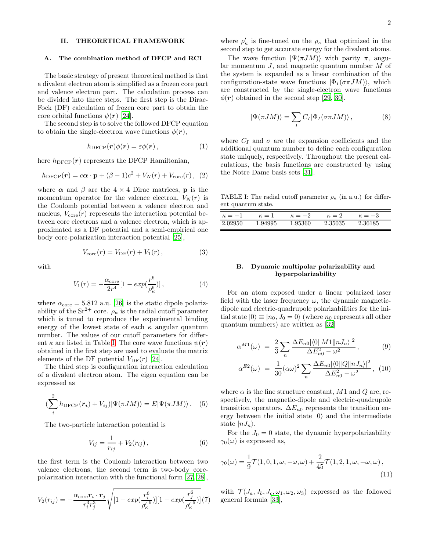# II. THEORETICAL FRAMEWORK

#### A. The combination method of DFCP and RCI

The basic strategy of present theoretical method is that a divalent electron atom is simplified as a frozen core part and valence electron part. The calculation process can be divided into three steps. The first step is the Dirac-Fock (DF) calculation of frozen core part to obtain the core orbital functions  $\psi(\mathbf{r})$  [\[24](#page-5-21)].

The second step is to solve the followed DFCP equation to obtain the single-electron wave functions  $\phi(\mathbf{r}),$ 

$$
h_{\text{DFCP}}(\mathbf{r})\phi(\mathbf{r})=\varepsilon\phi(\mathbf{r}),\qquad(1)
$$

here  $h_{\text{DFCP}}(r)$  represents the DFCP Hamiltonian,

$$
h_{\text{DFCP}}(\mathbf{r}) = c\mathbf{\alpha} \cdot \mathbf{p} + (\beta - 1)c^2 + V_N(r) + V_{\text{core}}(r), (2)
$$

where  $\alpha$  and  $\beta$  are the 4 × 4 Dirac matrices, **p** is the momentum operator for the valence electron,  $V_N(r)$  is the Coulomb potential between a valence electron and nucleus,  $V_{\text{core}}(r)$  represents the interaction potential between core electrons and a valence electron, which is approximated as a DF potential and a semi-empirical one body core-polarization interaction potential [\[25](#page-5-22)],

$$
V_{\rm core}(r) = V_{\rm DF}(r) + V_1(r), \qquad (3)
$$

with

$$
V_1(r) = -\frac{\alpha_{\text{core}}}{2r^4} [1 - exp(\frac{r^6}{\rho_\kappa^6})], \qquad (4)
$$

where  $\alpha_{\text{core}} = 5.812$  a.u. [\[26\]](#page-5-23) is the static dipole polarizability of the Sr<sup>2+</sup> core.  $\rho_{\kappa}$  is the radial cutoff parameter which is tuned to reproduce the experimental binding energy of the lowest state of each  $\kappa$  angular quantum number. The values of our cutoff parameters for different  $\kappa$  are listed in Table [I.](#page-1-0) The core wave functions  $\psi(\mathbf{r})$ obtained in the first step are used to evaluate the matrix elements of the DF potential  $V_{\text{DF}}(r)$  [\[24\]](#page-5-21).

The third step is configuration interaction calculation of a divalent electron atom. The eigen equation can be expressed as

$$
\left(\sum_{i}^{2} h_{\text{DFCP}}(\boldsymbol{r}_{i}) + V_{ij}\right) |\Psi(\pi JM)\rangle = E |\Psi(\pi JM)\rangle. \quad (5)
$$

The two-particle interaction potential is

$$
V_{ij} = \frac{1}{r_{ij}} + V_2(r_{ij}),
$$
\n(6)

the first term is the Coulomb interaction between two valence electrons, the second term is two-body corepolarization interaction with the functional form [\[27](#page-6-0), [28\]](#page-6-1),

$$
V_2(r_{ij}) = -\frac{\alpha_{\text{core}} \mathbf{r}_i \cdot \mathbf{r}_j}{r_i^3 r_j^3} \sqrt{[1 - exp(\frac{r_i^6}{\rho_\kappa'^6})][1 - exp(\frac{r_j^6}{\rho_\kappa'^6})]} (7)
$$

where  $\rho'_\kappa$  is fine-tuned on the  $\rho_\kappa$  that optimized in the second step to get accurate energy for the divalent atoms.

The wave function  $|\Psi(\pi JM)\rangle$  with parity  $\pi$ , angular momentum  $J$ , and magnetic quantum number  $M$  of the system is expanded as a linear combination of the configuration-state wave functions  $|\Phi_I(\sigma \pi J M)\rangle$ , which are constructed by the single-electron wave functions  $\phi(\mathbf{r})$  obtained in the second step [\[29](#page-6-2), [30\]](#page-6-3).

$$
|\Psi(\pi JM)\rangle = \sum_{I} C_{I} |\Phi_{I}(\sigma \pi JM)\rangle , \qquad (8)
$$

where  $C_I$  and  $\sigma$  are the expansion coefficients and the additional quantum number to define each configuration state uniquely, respectively. Throughout the present calculations, the basis functions are constructed by using the Notre Dame basis sets [\[31\]](#page-6-4).

<span id="page-1-0"></span>TABLE I: The radial cutoff parameter  $\rho_{\kappa}$  (in a.u.) for different quantum state.

| $\kappa = -1$ | $\kappa = 1$ | $\kappa = -2$ | $\kappa=2$ | $\kappa = -3$ |
|---------------|--------------|---------------|------------|---------------|
| 2.02950       | 1.94995      | 1.95360       | 2.35035    | 2.36185       |

## B. Dynamic multipolar polarizability and hyperpolarizability

For an atom exposed under a linear polarized laser field with the laser frequency  $\omega$ , the dynamic magneticdipole and electric-quadrupole polarizabilities for the initial state  $|0\rangle \equiv |n_0, J_0 = 0\rangle$  (where  $n_0$  represents all other quantum numbers) are written as [\[32\]](#page-6-5)

$$
\alpha^{M1}(\omega) = \frac{2}{3} \sum_{n} \frac{\Delta E_{n0} |\langle 0 || M1 || nJ_n \rangle|^2}{\Delta E_{n0}^2 - \omega^2}, \qquad (9)
$$

$$
\alpha^{E2}(\omega) = \frac{1}{30} (\alpha \omega)^2 \sum_{n} \frac{\Delta E_{n0} |\langle 0 | |Q| | n J_n \rangle|^2}{\Delta E_{n0}^2 - \omega^2}, \tag{10}
$$

where  $\alpha$  is the fine structure constant, M1 and Q are, respectively, the magnetic-dipole and electric-quadrupole transition operators.  $\Delta E_{n0}$  represents the transition energy between the initial state  $|0\rangle$  and the intermediate state  $|nJ_n\rangle$ .

For the  $J_0 = 0$  state, the dynamic hyperpolarizability  $\gamma_0(\omega)$  is expressed as,

<span id="page-1-1"></span>
$$
\gamma_0(\omega) = \frac{1}{9}\mathcal{T}(1, 0, 1, \omega, -\omega, \omega) + \frac{2}{45}\mathcal{T}(1, 2, 1, \omega, -\omega, \omega),
$$
\n(11)

with  $\mathcal{T}(J_a, J_b, J_c, \omega_1, \omega_2, \omega_3)$  expressed as the followed general formula [\[33\]](#page-6-6),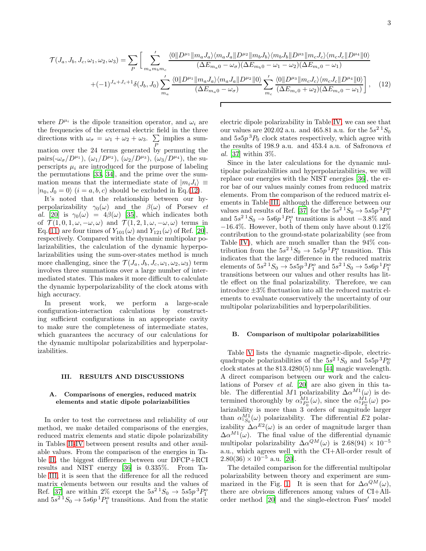<span id="page-2-0"></span>
$$
\mathcal{T}(J_a, J_b, J_c, \omega_1, \omega_2, \omega_3) = \sum_P \left[ \sum_{m_a m_b m_c} \frac{\langle 0 \| D^{\mu_1} \| m_a J_a \rangle \langle m_a J_a \| D^{\mu_2} \| m_b J_b \rangle \langle m_b J_b \| D^{\mu_3} \| m_c J_c \rangle \langle m_c J_c \| D^{\mu_4} \| 0 \rangle}{(\Delta E_{m_a 0} - \omega_\sigma)(\Delta E_{m_b 0} - \omega_1 - \omega_2)(\Delta E_{m_c 0} - \omega_1)} \right] + (-1)^{J_a + J_c + 1} \delta(J_b, J_0) \sum_{m_a} \frac{\langle 0 \| D^{\mu_1} \| m_a J_a \rangle \langle m_a J_a \| D^{\mu_2} \| 0 \rangle}{(\Delta E_{m_a 0} - \omega_\sigma)} \sum_{m_c} \frac{\langle 0 \| D^{\mu_3} \| m_c J_c \rangle \langle m_c J_c \| D^{\mu_4} \| 0 \rangle}{(\Delta E_{m_c 0} + \omega_2)(\Delta E_{m_c 0} - \omega_1)} \right], \quad (12)
$$

where  $D^{\mu_i}$  is the dipole transition operator, and  $\omega_i$  are the frequencies of the external electric field in the three directions with  $\omega_{\sigma} = \omega_1 + \omega_2 + \omega_3$ .  $\sum$ P implies a summation over the 24 terms generated by permuting the pairs( $-\omega_{\sigma}/D^{\mu_1}$ ),  $(\omega_1/D^{\mu_2})$ ,  $(\omega_2/D^{\mu_3})$ ,  $(\omega_3/D^{\mu_4})$ , the superscripts  $\mu_i$  are introduced for the purpose of labeling the permutations [\[33,](#page-6-6) [34\]](#page-6-7), and the prime over the summation means that the intermediate state of  $|m_iJ_i\rangle \equiv$  $|n_0, J_0 = 0\rangle$   $(i = a, b, c)$  should be excluded in Eq.[\(12\)](#page-2-0).

It's noted that the relationship between our hyperpolarizability  $\gamma_0(\omega)$  and the  $\beta(\omega)$  of Porsev et al. [\[20](#page-5-17)] is  $\gamma_0(\omega) = 4\beta(\omega)$  [\[35\]](#page-6-8), which indicates both of  $\mathcal{T}(1,0,1,\omega,-\omega,\omega)$  and  $\mathcal{T}(1,2,1,\omega,-\omega,\omega)$  terms in Eq.[\(11\)](#page-1-1) are four times of  $Y_{101}(\omega)$  and  $Y_{121}(\omega)$  of Ref. [\[20\]](#page-5-17), respectively. Compared with the dynamic multipolar polarizabilities, the calculation of the dynamic hyperpolarizabilities using the sum-over-states method is much more challenging, since the  $\mathcal{T}(J_a, J_b, J_c, \omega_1, \omega_2, \omega_3)$  term involves three summations over a large number of intermediated states. This makes it more difficult to calculate the dynamic hyperpolarizability of the clock atoms with high accuracy.

In present work, we perform a large-scale configuration-interaction calculations by constructing sufficient configurations in an appropriate cavity to make sure the completeness of intermediate states, which guarantees the accuracy of our calculations for the dynamic multipolar polarizabilities and hyperpolarizabilities.

### III. RESULTS AND DISCUSSIONS

### A. Comparisons of energies, reduced matrix elements and static dipole polarizabilities

In order to test the correctness and reliability of our method, we make detailed comparisons of the energies, reduced matrix elements and static dipole polarizability in Tables [II-](#page-3-0)[IV](#page-3-1) between present results and other available values. From the comparison of the energies in Table [II,](#page-3-0) the biggest difference between our DFCP+RCI results and NIST energy [\[36\]](#page-6-9) is 0.335%. From Table [III,](#page-3-2) it is seen that the difference for all the reduced matrix elements between our results and the values of Ref. [\[37\]](#page-6-10) are within 2% except the  $5s^2$   $^1S_0 \rightarrow 5s5p^3P_1^o$ and  $5s^2$ <sup>1</sup> $S_0 \rightarrow 5s6p$ <sup>1</sup> $P_1^o$  transitions. And from the static

electric dipole polarizability in Table [IV,](#page-3-1) we can see that our values are 202.02 a.u. and 465.81 a.u. for the  $5s^2$   $^1S_0$ and  $5s5p<sup>3</sup>P<sub>0</sub>$  clock states respectively, which agree with the results of 198.9 a.u. and 453.4 a.u. of Safronova et al. [\[37\]](#page-6-10) within 3%.

Since in the later calculations for the dynamic multipolar polarizabilities and hyperpolarizabilities, we will replace our energies with the NIST energies [\[36](#page-6-9)], the error bar of our values mainly comes from reduced matrix elements. From the comparison of the reduced matrix elements in Table [III,](#page-3-2) although the difference between our values and results of Ref. [\[37\]](#page-6-10) for the  $5s^2$   $\frac{1}{S_0} \rightarrow 5s5p^3P_1^o$ and  $5s^2$ <sup>1</sup> $S_0 \rightarrow 5s6p$ <sup>1</sup> $P_1^o$  transitions is about  $-3.8\%$  and  $-16.4\%$ . However, both of them only have about  $0.12\%$ contribution to the ground-state polarizability (see from Table [IV\)](#page-3-1), which are much smaller than the 94\% contribution from the  $5s^2$ <sup>1</sup> $S_0 \rightarrow 5s5p$ <sup>1</sup> $P_1^o$  transition. This indicates that the large difference in the reduced matrix elements of  $5s^2 \,^1S_0 \to 5s5p \,^3P_1^o$  and  $5s^2 \,^1S_0 \to 5s6p \,^1P_1^o$ transitions between our values and other results has little effect on the final polarizability. Therefore, we can introduce  $\pm 3\%$  fluctuation into all the reduced matrix elements to evaluate conservatively the uncertainty of our multipolar polarizabilities and hyperpolaribilities.

#### B. Comparison of multipolar polarizabilities

Table [V](#page-4-0) lists the dynamic magnetic-dipole, electricquadrupole polarizabilities of the  $5s^2$   $^1S_0$  and  $5s5p^3P_0^o$ clock states at the 813.4280(5) nm [\[44](#page-6-11)] magic wavelength. A direct comparison between our work and the calculations of Porsev et al. [\[20\]](#page-5-17) are also given in this table. The differential M1 polarizability  $\Delta \alpha^{M1}(\omega)$  is determined thoroughly by  $\alpha_{3P_0^0}^{M_1}(\omega)$ , since the  $\alpha_{3P_0^0}^{M_1}(\omega)$  polarizability is more than 3 orders of magnitude larger than  $\alpha_{1S_0}^{M_1}(\omega)$  polarizability. The differential E2 polarizability  $\Delta \alpha^{E2}(\omega)$  is an order of magnitude larger than  $\Delta \alpha^{M1}(\omega)$ . The final value of the differential dynamic multipolar polarizability  $\Delta \alpha^{QM}(\omega)$  is 2.68(94) × 10<sup>-5</sup> a.u., which agrees well with the CI+All-order result of  $2.80(36) \times 10^{-5}$  a.u. [\[20\]](#page-5-17).

The detailed comparison for the differential multipolar polarizability between theory and experiment are sum-marized in the Fig. [1.](#page-3-3) It is seen that for  $\Delta \alpha^{QM}(\omega)$ , there are obvious differences among values of CI+Allorder method [\[20\]](#page-5-17) and the single-electron Fues′ model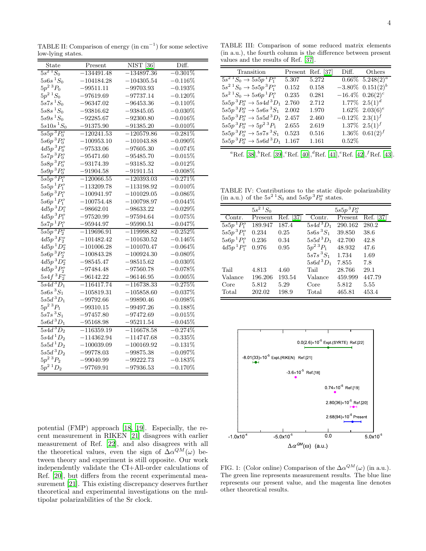<span id="page-3-0"></span>TABLE II: Comparison of energy (in  $cm^{-1}$ ) for some selective low-lying states.

| $5s^2$ $^1S_0$<br>$-0.301\%$<br>$-134491.48$<br>$-134897.36$<br>$5s6s\,{}^{1}S_0$<br>$-104184.28$<br>$-104305.54$<br>$-0.116\%$<br>$5p^2$ <sup>3</sup> $P_0$<br>$-99511.11$<br>$-99703.93$<br>$-0.193\%$<br>$5p^2$ $^1S_0$<br>$-97619.69$<br>$-97737.14$<br>$-0.120\%$<br>$5s7s\,{}^{1}S_0$<br>$-96347.02$<br>$-96453.36$<br>$-0.110\%$<br>$5s8s\,{}^{1}S_{0}$<br>$-93816.62$<br>$-93845.05$<br>$-0.030\%$<br>$5s9s\,{}^{1}S_0$<br>$-92285.67$<br>$-92300.80$<br>$-0.016\%$<br>$5s10s\,{}^{1}S_{0}$<br>$-91375.90$<br>$-91385.20$<br>$-0.010\%$<br>$5s5p~^3P_0^o$<br>$-0.281\%$<br>$-120241.53$<br>$-120579.86$<br>$5s6p~^3P_0^o$<br>$-100953.10$<br>$-101043.88$<br>$-0.090\%$<br>$4d5p~^3P_0^o$<br>$-97533.06$<br>$-97605.30$<br>$-0.074\%$<br>$5s7p~^3P_0^o$<br>$-95471.60$<br>$-95485.70$<br>$-0.015\%$<br>$5s8p$ <sup>3</sup> $P_0^o$<br>$-93174.39$<br>$-93185.32$<br>$-0.012\%$<br>$5s9p~^3P_0^o$<br>$-91904.58$<br>$-91911.51$<br>$-0.008\%$<br>$5s5p$ <sup>3</sup> $P_1^o$<br>$-120066.55$<br>$-120393.03$<br>$-0.271%$<br>$5s5p~^1P_1^o$<br>$-113209.78$<br>$-113198.92$<br>$-0.010\%$<br>$5s6p~^3P_1^o$<br>$-100941.97$<br>$-101029.05$<br>$-0.086\%$<br>$5s6p~^1P_1^o$<br>$-100754.48$<br>$-100798.97$<br>$-0.044\%$<br>$4d5p$ <sup>3</sup> $D_1^o$<br>$-98662.01$<br>$-98633.22$<br>$-0.029\%$<br>$4d5p~^3P_1^o$<br>$-97520.99$<br>$-97594.64$<br>$-0.075%$<br>$5s7p$ $^1P_1^o$<br>$-95944.97$<br>$-0.047%$<br>$-95990.51$<br>$5s5p$ <sup>3</sup> $P_2^o$<br>$-119696.91$<br>$-119998.82$<br>$-0.252\%$<br>$4d5p~^3F_2^o$<br>$-101482.42$<br>$-101630.52$<br>$-0.146\%$<br>$4d5p$ <sup>1</sup> $D_2^o$<br>$-101006.28$<br>$-101070.47$<br>$-0.064\%$<br>$5s6p~^3P_2^o$<br>$-100843.28$<br>$-100924.30$<br>$-0.080\%$<br>$4d5p$ <sup>3</sup> $D_2^o$<br>$-98545.47$<br>$-98515.62$<br>$-0.030\%$<br>$4d5p~^3P_2^o$<br>$-97484.48$<br>$-97560.78$<br>$-0.078\%$<br>$5s4f\,{}^{3}F_{2}^{o}$<br>$-96142.22$<br>$-96146.95$<br>$-0.005%$<br>$5s4d$ <sup>3</sup> $D_1$<br>$-116417.74$<br>$-116738.33$<br>$-0.275%$<br>$5s6s$ <sup>3</sup> $S_1$<br>$-105819.31$<br>$-105858.60$<br>$-0.037\%$<br>$5s5d$ <sup>3</sup> $D_1$<br>$-99792.66$<br>$-99890.46$<br>$-0.098\%$<br>$5p^2~^3P_1$<br>$-99310.15$<br>$-99497.26$<br>$-0.188\%$<br>$5s7s\,{}^{3}S_{1}$<br>$-97457.80$<br>$-97472.69$<br>$-0.015%$<br>$5s6d$ <sup>3</sup> $D_1$<br>$-95168.98$<br>$-95211.54$<br>$-0.045\%$<br>$5s4d$ <sup>3</sup> $D_2$<br>$-116359.19$<br>$-116678.58$<br>$-0.274%$<br>$5s4d^1D_2$<br>$-114362.94$<br>$-114747.68$<br>$-0.335%$<br>$5s5d$ <sup>1</sup> $D_2$<br>$-100039.09$<br>$-100169.92$<br>$-0.131\%$<br>$5s5d$ <sup>3</sup> $D_2$<br>$-99778.03$<br>$-99875.38$<br>$-0.097\%$<br>$5p^2$ $^3P_2$<br>$-99040.99$<br>$-99222.73$<br>$-0.183\%$<br>$5p^2$ <sup>1</sup> $D_2$<br>$-97769.91$<br>$-0.170\%$<br>$-97936.53$ | State | Present | <b>NIST</b> [36] | Diff. |
|------------------------------------------------------------------------------------------------------------------------------------------------------------------------------------------------------------------------------------------------------------------------------------------------------------------------------------------------------------------------------------------------------------------------------------------------------------------------------------------------------------------------------------------------------------------------------------------------------------------------------------------------------------------------------------------------------------------------------------------------------------------------------------------------------------------------------------------------------------------------------------------------------------------------------------------------------------------------------------------------------------------------------------------------------------------------------------------------------------------------------------------------------------------------------------------------------------------------------------------------------------------------------------------------------------------------------------------------------------------------------------------------------------------------------------------------------------------------------------------------------------------------------------------------------------------------------------------------------------------------------------------------------------------------------------------------------------------------------------------------------------------------------------------------------------------------------------------------------------------------------------------------------------------------------------------------------------------------------------------------------------------------------------------------------------------------------------------------------------------------------------------------------------------------------------------------------------------------------------------------------------------------------------------------------------------------------------------------------------------------------------------------------------------------------------------------------------------------------------------------------------------------------------------------------------------------------------------------------------------------------------------------------------------------------------------------------------------------------------------------------------------------------------------------------------------------|-------|---------|------------------|-------|
|                                                                                                                                                                                                                                                                                                                                                                                                                                                                                                                                                                                                                                                                                                                                                                                                                                                                                                                                                                                                                                                                                                                                                                                                                                                                                                                                                                                                                                                                                                                                                                                                                                                                                                                                                                                                                                                                                                                                                                                                                                                                                                                                                                                                                                                                                                                                                                                                                                                                                                                                                                                                                                                                                                                                                                                                                        |       |         |                  |       |
|                                                                                                                                                                                                                                                                                                                                                                                                                                                                                                                                                                                                                                                                                                                                                                                                                                                                                                                                                                                                                                                                                                                                                                                                                                                                                                                                                                                                                                                                                                                                                                                                                                                                                                                                                                                                                                                                                                                                                                                                                                                                                                                                                                                                                                                                                                                                                                                                                                                                                                                                                                                                                                                                                                                                                                                                                        |       |         |                  |       |
|                                                                                                                                                                                                                                                                                                                                                                                                                                                                                                                                                                                                                                                                                                                                                                                                                                                                                                                                                                                                                                                                                                                                                                                                                                                                                                                                                                                                                                                                                                                                                                                                                                                                                                                                                                                                                                                                                                                                                                                                                                                                                                                                                                                                                                                                                                                                                                                                                                                                                                                                                                                                                                                                                                                                                                                                                        |       |         |                  |       |
|                                                                                                                                                                                                                                                                                                                                                                                                                                                                                                                                                                                                                                                                                                                                                                                                                                                                                                                                                                                                                                                                                                                                                                                                                                                                                                                                                                                                                                                                                                                                                                                                                                                                                                                                                                                                                                                                                                                                                                                                                                                                                                                                                                                                                                                                                                                                                                                                                                                                                                                                                                                                                                                                                                                                                                                                                        |       |         |                  |       |
|                                                                                                                                                                                                                                                                                                                                                                                                                                                                                                                                                                                                                                                                                                                                                                                                                                                                                                                                                                                                                                                                                                                                                                                                                                                                                                                                                                                                                                                                                                                                                                                                                                                                                                                                                                                                                                                                                                                                                                                                                                                                                                                                                                                                                                                                                                                                                                                                                                                                                                                                                                                                                                                                                                                                                                                                                        |       |         |                  |       |
|                                                                                                                                                                                                                                                                                                                                                                                                                                                                                                                                                                                                                                                                                                                                                                                                                                                                                                                                                                                                                                                                                                                                                                                                                                                                                                                                                                                                                                                                                                                                                                                                                                                                                                                                                                                                                                                                                                                                                                                                                                                                                                                                                                                                                                                                                                                                                                                                                                                                                                                                                                                                                                                                                                                                                                                                                        |       |         |                  |       |
|                                                                                                                                                                                                                                                                                                                                                                                                                                                                                                                                                                                                                                                                                                                                                                                                                                                                                                                                                                                                                                                                                                                                                                                                                                                                                                                                                                                                                                                                                                                                                                                                                                                                                                                                                                                                                                                                                                                                                                                                                                                                                                                                                                                                                                                                                                                                                                                                                                                                                                                                                                                                                                                                                                                                                                                                                        |       |         |                  |       |
|                                                                                                                                                                                                                                                                                                                                                                                                                                                                                                                                                                                                                                                                                                                                                                                                                                                                                                                                                                                                                                                                                                                                                                                                                                                                                                                                                                                                                                                                                                                                                                                                                                                                                                                                                                                                                                                                                                                                                                                                                                                                                                                                                                                                                                                                                                                                                                                                                                                                                                                                                                                                                                                                                                                                                                                                                        |       |         |                  |       |
|                                                                                                                                                                                                                                                                                                                                                                                                                                                                                                                                                                                                                                                                                                                                                                                                                                                                                                                                                                                                                                                                                                                                                                                                                                                                                                                                                                                                                                                                                                                                                                                                                                                                                                                                                                                                                                                                                                                                                                                                                                                                                                                                                                                                                                                                                                                                                                                                                                                                                                                                                                                                                                                                                                                                                                                                                        |       |         |                  |       |
|                                                                                                                                                                                                                                                                                                                                                                                                                                                                                                                                                                                                                                                                                                                                                                                                                                                                                                                                                                                                                                                                                                                                                                                                                                                                                                                                                                                                                                                                                                                                                                                                                                                                                                                                                                                                                                                                                                                                                                                                                                                                                                                                                                                                                                                                                                                                                                                                                                                                                                                                                                                                                                                                                                                                                                                                                        |       |         |                  |       |
|                                                                                                                                                                                                                                                                                                                                                                                                                                                                                                                                                                                                                                                                                                                                                                                                                                                                                                                                                                                                                                                                                                                                                                                                                                                                                                                                                                                                                                                                                                                                                                                                                                                                                                                                                                                                                                                                                                                                                                                                                                                                                                                                                                                                                                                                                                                                                                                                                                                                                                                                                                                                                                                                                                                                                                                                                        |       |         |                  |       |
|                                                                                                                                                                                                                                                                                                                                                                                                                                                                                                                                                                                                                                                                                                                                                                                                                                                                                                                                                                                                                                                                                                                                                                                                                                                                                                                                                                                                                                                                                                                                                                                                                                                                                                                                                                                                                                                                                                                                                                                                                                                                                                                                                                                                                                                                                                                                                                                                                                                                                                                                                                                                                                                                                                                                                                                                                        |       |         |                  |       |
|                                                                                                                                                                                                                                                                                                                                                                                                                                                                                                                                                                                                                                                                                                                                                                                                                                                                                                                                                                                                                                                                                                                                                                                                                                                                                                                                                                                                                                                                                                                                                                                                                                                                                                                                                                                                                                                                                                                                                                                                                                                                                                                                                                                                                                                                                                                                                                                                                                                                                                                                                                                                                                                                                                                                                                                                                        |       |         |                  |       |
|                                                                                                                                                                                                                                                                                                                                                                                                                                                                                                                                                                                                                                                                                                                                                                                                                                                                                                                                                                                                                                                                                                                                                                                                                                                                                                                                                                                                                                                                                                                                                                                                                                                                                                                                                                                                                                                                                                                                                                                                                                                                                                                                                                                                                                                                                                                                                                                                                                                                                                                                                                                                                                                                                                                                                                                                                        |       |         |                  |       |
|                                                                                                                                                                                                                                                                                                                                                                                                                                                                                                                                                                                                                                                                                                                                                                                                                                                                                                                                                                                                                                                                                                                                                                                                                                                                                                                                                                                                                                                                                                                                                                                                                                                                                                                                                                                                                                                                                                                                                                                                                                                                                                                                                                                                                                                                                                                                                                                                                                                                                                                                                                                                                                                                                                                                                                                                                        |       |         |                  |       |
|                                                                                                                                                                                                                                                                                                                                                                                                                                                                                                                                                                                                                                                                                                                                                                                                                                                                                                                                                                                                                                                                                                                                                                                                                                                                                                                                                                                                                                                                                                                                                                                                                                                                                                                                                                                                                                                                                                                                                                                                                                                                                                                                                                                                                                                                                                                                                                                                                                                                                                                                                                                                                                                                                                                                                                                                                        |       |         |                  |       |
|                                                                                                                                                                                                                                                                                                                                                                                                                                                                                                                                                                                                                                                                                                                                                                                                                                                                                                                                                                                                                                                                                                                                                                                                                                                                                                                                                                                                                                                                                                                                                                                                                                                                                                                                                                                                                                                                                                                                                                                                                                                                                                                                                                                                                                                                                                                                                                                                                                                                                                                                                                                                                                                                                                                                                                                                                        |       |         |                  |       |
|                                                                                                                                                                                                                                                                                                                                                                                                                                                                                                                                                                                                                                                                                                                                                                                                                                                                                                                                                                                                                                                                                                                                                                                                                                                                                                                                                                                                                                                                                                                                                                                                                                                                                                                                                                                                                                                                                                                                                                                                                                                                                                                                                                                                                                                                                                                                                                                                                                                                                                                                                                                                                                                                                                                                                                                                                        |       |         |                  |       |
|                                                                                                                                                                                                                                                                                                                                                                                                                                                                                                                                                                                                                                                                                                                                                                                                                                                                                                                                                                                                                                                                                                                                                                                                                                                                                                                                                                                                                                                                                                                                                                                                                                                                                                                                                                                                                                                                                                                                                                                                                                                                                                                                                                                                                                                                                                                                                                                                                                                                                                                                                                                                                                                                                                                                                                                                                        |       |         |                  |       |
|                                                                                                                                                                                                                                                                                                                                                                                                                                                                                                                                                                                                                                                                                                                                                                                                                                                                                                                                                                                                                                                                                                                                                                                                                                                                                                                                                                                                                                                                                                                                                                                                                                                                                                                                                                                                                                                                                                                                                                                                                                                                                                                                                                                                                                                                                                                                                                                                                                                                                                                                                                                                                                                                                                                                                                                                                        |       |         |                  |       |
|                                                                                                                                                                                                                                                                                                                                                                                                                                                                                                                                                                                                                                                                                                                                                                                                                                                                                                                                                                                                                                                                                                                                                                                                                                                                                                                                                                                                                                                                                                                                                                                                                                                                                                                                                                                                                                                                                                                                                                                                                                                                                                                                                                                                                                                                                                                                                                                                                                                                                                                                                                                                                                                                                                                                                                                                                        |       |         |                  |       |
|                                                                                                                                                                                                                                                                                                                                                                                                                                                                                                                                                                                                                                                                                                                                                                                                                                                                                                                                                                                                                                                                                                                                                                                                                                                                                                                                                                                                                                                                                                                                                                                                                                                                                                                                                                                                                                                                                                                                                                                                                                                                                                                                                                                                                                                                                                                                                                                                                                                                                                                                                                                                                                                                                                                                                                                                                        |       |         |                  |       |
|                                                                                                                                                                                                                                                                                                                                                                                                                                                                                                                                                                                                                                                                                                                                                                                                                                                                                                                                                                                                                                                                                                                                                                                                                                                                                                                                                                                                                                                                                                                                                                                                                                                                                                                                                                                                                                                                                                                                                                                                                                                                                                                                                                                                                                                                                                                                                                                                                                                                                                                                                                                                                                                                                                                                                                                                                        |       |         |                  |       |
|                                                                                                                                                                                                                                                                                                                                                                                                                                                                                                                                                                                                                                                                                                                                                                                                                                                                                                                                                                                                                                                                                                                                                                                                                                                                                                                                                                                                                                                                                                                                                                                                                                                                                                                                                                                                                                                                                                                                                                                                                                                                                                                                                                                                                                                                                                                                                                                                                                                                                                                                                                                                                                                                                                                                                                                                                        |       |         |                  |       |
|                                                                                                                                                                                                                                                                                                                                                                                                                                                                                                                                                                                                                                                                                                                                                                                                                                                                                                                                                                                                                                                                                                                                                                                                                                                                                                                                                                                                                                                                                                                                                                                                                                                                                                                                                                                                                                                                                                                                                                                                                                                                                                                                                                                                                                                                                                                                                                                                                                                                                                                                                                                                                                                                                                                                                                                                                        |       |         |                  |       |
|                                                                                                                                                                                                                                                                                                                                                                                                                                                                                                                                                                                                                                                                                                                                                                                                                                                                                                                                                                                                                                                                                                                                                                                                                                                                                                                                                                                                                                                                                                                                                                                                                                                                                                                                                                                                                                                                                                                                                                                                                                                                                                                                                                                                                                                                                                                                                                                                                                                                                                                                                                                                                                                                                                                                                                                                                        |       |         |                  |       |
|                                                                                                                                                                                                                                                                                                                                                                                                                                                                                                                                                                                                                                                                                                                                                                                                                                                                                                                                                                                                                                                                                                                                                                                                                                                                                                                                                                                                                                                                                                                                                                                                                                                                                                                                                                                                                                                                                                                                                                                                                                                                                                                                                                                                                                                                                                                                                                                                                                                                                                                                                                                                                                                                                                                                                                                                                        |       |         |                  |       |
|                                                                                                                                                                                                                                                                                                                                                                                                                                                                                                                                                                                                                                                                                                                                                                                                                                                                                                                                                                                                                                                                                                                                                                                                                                                                                                                                                                                                                                                                                                                                                                                                                                                                                                                                                                                                                                                                                                                                                                                                                                                                                                                                                                                                                                                                                                                                                                                                                                                                                                                                                                                                                                                                                                                                                                                                                        |       |         |                  |       |
|                                                                                                                                                                                                                                                                                                                                                                                                                                                                                                                                                                                                                                                                                                                                                                                                                                                                                                                                                                                                                                                                                                                                                                                                                                                                                                                                                                                                                                                                                                                                                                                                                                                                                                                                                                                                                                                                                                                                                                                                                                                                                                                                                                                                                                                                                                                                                                                                                                                                                                                                                                                                                                                                                                                                                                                                                        |       |         |                  |       |
|                                                                                                                                                                                                                                                                                                                                                                                                                                                                                                                                                                                                                                                                                                                                                                                                                                                                                                                                                                                                                                                                                                                                                                                                                                                                                                                                                                                                                                                                                                                                                                                                                                                                                                                                                                                                                                                                                                                                                                                                                                                                                                                                                                                                                                                                                                                                                                                                                                                                                                                                                                                                                                                                                                                                                                                                                        |       |         |                  |       |
|                                                                                                                                                                                                                                                                                                                                                                                                                                                                                                                                                                                                                                                                                                                                                                                                                                                                                                                                                                                                                                                                                                                                                                                                                                                                                                                                                                                                                                                                                                                                                                                                                                                                                                                                                                                                                                                                                                                                                                                                                                                                                                                                                                                                                                                                                                                                                                                                                                                                                                                                                                                                                                                                                                                                                                                                                        |       |         |                  |       |
|                                                                                                                                                                                                                                                                                                                                                                                                                                                                                                                                                                                                                                                                                                                                                                                                                                                                                                                                                                                                                                                                                                                                                                                                                                                                                                                                                                                                                                                                                                                                                                                                                                                                                                                                                                                                                                                                                                                                                                                                                                                                                                                                                                                                                                                                                                                                                                                                                                                                                                                                                                                                                                                                                                                                                                                                                        |       |         |                  |       |
|                                                                                                                                                                                                                                                                                                                                                                                                                                                                                                                                                                                                                                                                                                                                                                                                                                                                                                                                                                                                                                                                                                                                                                                                                                                                                                                                                                                                                                                                                                                                                                                                                                                                                                                                                                                                                                                                                                                                                                                                                                                                                                                                                                                                                                                                                                                                                                                                                                                                                                                                                                                                                                                                                                                                                                                                                        |       |         |                  |       |
|                                                                                                                                                                                                                                                                                                                                                                                                                                                                                                                                                                                                                                                                                                                                                                                                                                                                                                                                                                                                                                                                                                                                                                                                                                                                                                                                                                                                                                                                                                                                                                                                                                                                                                                                                                                                                                                                                                                                                                                                                                                                                                                                                                                                                                                                                                                                                                                                                                                                                                                                                                                                                                                                                                                                                                                                                        |       |         |                  |       |
|                                                                                                                                                                                                                                                                                                                                                                                                                                                                                                                                                                                                                                                                                                                                                                                                                                                                                                                                                                                                                                                                                                                                                                                                                                                                                                                                                                                                                                                                                                                                                                                                                                                                                                                                                                                                                                                                                                                                                                                                                                                                                                                                                                                                                                                                                                                                                                                                                                                                                                                                                                                                                                                                                                                                                                                                                        |       |         |                  |       |
|                                                                                                                                                                                                                                                                                                                                                                                                                                                                                                                                                                                                                                                                                                                                                                                                                                                                                                                                                                                                                                                                                                                                                                                                                                                                                                                                                                                                                                                                                                                                                                                                                                                                                                                                                                                                                                                                                                                                                                                                                                                                                                                                                                                                                                                                                                                                                                                                                                                                                                                                                                                                                                                                                                                                                                                                                        |       |         |                  |       |
|                                                                                                                                                                                                                                                                                                                                                                                                                                                                                                                                                                                                                                                                                                                                                                                                                                                                                                                                                                                                                                                                                                                                                                                                                                                                                                                                                                                                                                                                                                                                                                                                                                                                                                                                                                                                                                                                                                                                                                                                                                                                                                                                                                                                                                                                                                                                                                                                                                                                                                                                                                                                                                                                                                                                                                                                                        |       |         |                  |       |
|                                                                                                                                                                                                                                                                                                                                                                                                                                                                                                                                                                                                                                                                                                                                                                                                                                                                                                                                                                                                                                                                                                                                                                                                                                                                                                                                                                                                                                                                                                                                                                                                                                                                                                                                                                                                                                                                                                                                                                                                                                                                                                                                                                                                                                                                                                                                                                                                                                                                                                                                                                                                                                                                                                                                                                                                                        |       |         |                  |       |
|                                                                                                                                                                                                                                                                                                                                                                                                                                                                                                                                                                                                                                                                                                                                                                                                                                                                                                                                                                                                                                                                                                                                                                                                                                                                                                                                                                                                                                                                                                                                                                                                                                                                                                                                                                                                                                                                                                                                                                                                                                                                                                                                                                                                                                                                                                                                                                                                                                                                                                                                                                                                                                                                                                                                                                                                                        |       |         |                  |       |
|                                                                                                                                                                                                                                                                                                                                                                                                                                                                                                                                                                                                                                                                                                                                                                                                                                                                                                                                                                                                                                                                                                                                                                                                                                                                                                                                                                                                                                                                                                                                                                                                                                                                                                                                                                                                                                                                                                                                                                                                                                                                                                                                                                                                                                                                                                                                                                                                                                                                                                                                                                                                                                                                                                                                                                                                                        |       |         |                  |       |

potential (FMP) approach [\[18,](#page-5-15) [19\]](#page-5-20). Especially, the recent measurement in RIKEN [\[21](#page-5-16)] disagrees with earlier measurement of Ref. [\[22](#page-5-18)], and also disagrees with all the theoretical values, even the sign of  $\Delta \alpha^{QM}(\omega)$  between theory and experiment is still opposite. Our work independently validate the CI+All-order calculations of Ref. [\[20](#page-5-17)], but differs from the recent experimental measurement [\[21](#page-5-16)]. This existing discrepancy deserves further theoretical and experimental investigations on the multipolar polarizabilities of the Sr clock.

<span id="page-3-2"></span>TABLE III: Comparison of some reduced matrix elements (in a.u.), the fourth column is the difference between present values and the results of Ref. [\[37](#page-6-10)].

| Transition                                                            |       | Present Ref. [37] |                               | Diff. Others                   |
|-----------------------------------------------------------------------|-------|-------------------|-------------------------------|--------------------------------|
| $5s^2$ ${}^1S_0 \rightarrow 5s5p$ ${}^1P_1^o$                         | 5.307 | 5.272             |                               | $0.66\%$ 5.248(2) <sup>a</sup> |
| $5s^2{}^1S_0 \rightarrow 5s5p^3P_1^o$                                 | 0.152 | 0.158             |                               | $-3.80\% \; 0.151(2)^b$        |
| $5s^2$ ${}^1S_0 \rightarrow 5s6p$ ${}^1P_1^o$                         | 0.235 | 0.281             |                               | $-16.4\%$ 0.26(2) <sup>c</sup> |
| $5s5p$ <sup>3</sup> $P_0^o \rightarrow 5s4d$ <sup>3</sup> $D_1$       | 2.760 | 2.712             |                               | $1.77\%$ $2.5(1)^d$            |
| $5s5p$ <sup>3</sup> $P_0^o \rightarrow 5s6s$ <sup>3</sup> $S_1$       | 2.002 | 1.970             |                               | $1.62\%$ $2.03(6)^e$           |
| $5s5p^{3}P_{0}^{o} \rightarrow 5s5d^{3}D_{1}$                         | 2.457 | 2.460             | $-0.12\%$ 2.3(1) <sup>f</sup> |                                |
| $5s5p$ <sup>3</sup> $P_0^o \rightarrow 5p^2$ <sup>3</sup> $P_1$ 2.655 |       | 2.619             |                               | $1.37\% \ \ 2.5(1)^f$          |
| $5s5p$ <sup>3</sup> $P_0^o \rightarrow 5s7s$ <sup>3</sup> $S_1$ 0.523 |       | 0.516             |                               | $1.36\% \; 0.61(2)^f$          |
| $5s5p$ <sup>3</sup> $P_0^o \rightarrow 5s6d$ <sup>3</sup> $D_1$       | 1.167 | 1.161             | $0.52\%$                      |                                |

<sup>a</sup>Ref. [\[38](#page-6-12)],<sup>b</sup>Ref. [\[39](#page-6-13)],<sup>c</sup>Ref. [\[40](#page-6-14)],<sup>d</sup>Ref. [\[41](#page-6-15)],<sup>e</sup>Ref. [\[42](#page-6-16)],<sup>f</sup>Ref. [\[43](#page-6-17)].

<span id="page-3-1"></span>TABLE IV: Contributions to the static dipole polarizability (in a.u.) of the  $5s^2$   $^1S_0$  and  $5s5p$   $^3P_0^o$  states.

| $5s^2$ $^1S_0$              |         |           | $5s5p^{3}P_{0}^{o}$                |         |          |  |
|-----------------------------|---------|-----------|------------------------------------|---------|----------|--|
| Contr.                      | Present | Ref. [37] | Contr.                             | Present | Ref. 137 |  |
| $5s5p$ <sup>T</sup> $P_1^o$ | 189.947 | 187.4     | $5s4d$ <sup>3</sup> D <sub>1</sub> | 290.162 | 280.2    |  |
| $5s5p~^{3}P_{1}^{o}$        | 0.234   | 0.25      | $5s6s\,{}^{3}S_{1}$                | 39.850  | 38.6     |  |
| $5s6p~^1P_1^o$              | 0.236   | 0.34      | $5s5d$ <sup>3</sup> D <sub>1</sub> | 42.700  | 42.8     |  |
| $4d5p^{1}P_{1}^{o}$         | 0.976   | 0.95      | $5p^2~^3P_1$                       | 48.932  | 47.6     |  |
|                             |         |           | $5s7s\,{}^{3}S_{1}$                | 1.734   | 1.69     |  |
|                             |         |           | $5s6d$ <sup>3</sup> $D_1$          | 7.855   | 7.8      |  |
| Tail                        | 4.813   | 4.60      | Tail                               | 28.766  | 29.1     |  |
| Valance                     | 196.206 | 193.54    | Valance                            | 459.999 | 447.79   |  |
| Core                        | 5.812   | 5.29      | Core                               | 5.812   | 5.55     |  |
| Total                       | 202.02  | 198.9     | $_{\rm Total}$                     | 465.81  | 453.4    |  |



<span id="page-3-3"></span>FIG. 1: (Color online) Comparison of the  $\Delta \alpha^{QM}(\omega)$  (in a.u.). The green line represents measurement results. The blue line represents our present value, and the magenta line denotes other theoretical results.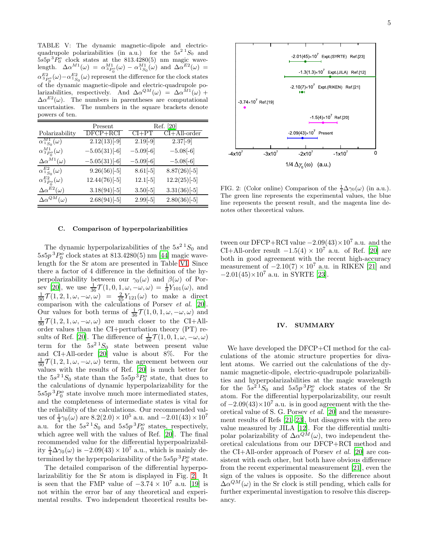<span id="page-4-0"></span>TABLE V: The dynamic magnetic-dipole and electricquadrupole polarizabilities (in a.u.) for the  $5s^2$   $^1S_0$  and  $5s5p$ <sup>3</sup> $P_0^o$  clock states at the 813.4280(5) nm magic wavelength.  $\Delta \alpha^{M1}(\omega) = \alpha^{M1}_{3P_0}(\omega) - \alpha^{M1}_{1S_0}(\omega)$  and  $\Delta \alpha^{E2}(\omega) =$  $\alpha_{3}^{E2}_{P_0^o}(\omega) - \alpha_{1S_0}^{E2}(\omega)$  represent the difference for the clock states of the dynamic magnetic-dipole and electric-quadrupole polarizabilities, respectively. And  $\Delta \alpha^{QM}(\omega) = \Delta \alpha^{\hat{M}1}(\omega) +$  $\Delta \alpha^{E2}(\omega)$ . The numbers in parentheses are computational uncertainties. The numbers in the square brackets denote powers of ten.

|                              | Present                    |             | Ref. [20]        |
|------------------------------|----------------------------|-------------|------------------|
| Polarizability               | $DFCP + RCI$               | $CI+PT$     | $CI + All-order$ |
| $\alpha_{1S_0}^{M1}(\omega)$ | $\overline{2.12(13)}$ [-9] | $2.19[-9]$  | $2.37[-9]$       |
| $\alpha_{3P_0}^{M1}(\omega)$ | $-5.05(31)$ [-6]           | $-5.09[-6]$ | $-5.08[-6]$      |
| $\Delta \alpha^{M1}(\omega)$ | $-5.05(31)$ [-6]           | $-5.09[-6]$ | $-5.08[-6]$      |
| $\alpha_{1S_0}^{E2}(\omega)$ | $9.26(56)$ [-5]            | $8.61[-5]$  | $8.87(26)$ [-5]  |
| $\alpha_{3P_0}^{E2}(\omega)$ | $12.44(76)$ [-5]           | $12.1[-5]$  | $12.2(25)$ [-5]  |
| $\Delta \alpha^{E2}(\omega)$ | $3.18(94)$ [-5]            | $3.50[-5]$  | $3.31(36)$ [-5]  |
| $\Delta \alpha^{QM}(\omega)$ | $2.68(94)$ [-5]            | $2.99[-5]$  | $2.80(36)$ [-5]  |

### C. Comparison of hyperpolarizabilities

The dynamic hyperpolarizabilities of the  $5s^2$   $^1S_0$  and  $5s5p$ <sup>3</sup> $P_0^o$  clock states at 813.4280(5) nm [\[44](#page-6-11)] magic wavelength for the Sr atom are presented in Table [VI.](#page-5-24) Since there a factor of 4 difference in the definition of the hyperpolarizability between our  $\gamma_0(\omega)$  and  $\beta(\omega)$  of Por-sev [\[20\]](#page-5-17), we use  $\frac{1}{36} \mathcal{T}(1,0,1,\omega,-\omega,\omega) = \frac{1}{9} Y_{101}(\omega)$ , and  $\frac{1}{90}\mathcal{T}(1,2,1,\omega,-\omega,\omega) = \frac{2}{45}Y_{121}(\omega)$  to make a direct comparison with the calculations of Porsev *et al.* [\[20\]](#page-5-17). Our values for both terms of  $\frac{1}{36}\mathcal{T}(1,0,1,\omega,-\omega,\omega)$  and  $\frac{1}{90}\mathcal{T}(1,2,1,\omega,-\omega,\omega)$  are much closer to the CI+Allorder values than the CI+perturbation theory (PT) re-sults of Ref. [\[20](#page-5-17)]. The difference of  $\frac{1}{36}\mathcal{T}(1,0,1,\omega,-\omega,\omega)$ term for the  $5s^2 S_0$  state between present value and CI+All-order [\[20\]](#page-5-17) value is about 8%. For the  $\frac{1}{90}\mathcal{T}(1,2,1,\omega,-\omega,\omega)$  term, the agreement between our values with the results of Ref. [\[20\]](#page-5-17) is much better for the  $5s^2$   $^1S_0$  state than the  $5s5p^3P_0^o$  state, that dues to the calculations of dynamic hyperpolarizability for the  $5s5p$ <sup>3</sup> $P_0^o$  state involve much more intermediated states, and the completeness of intermediate states is vital for the reliability of the calculations. Our recommended values of  $\frac{1}{4}\gamma_0(\omega)$  are  $8.2(2.0) \times 10^5$  a.u. and  $-2.01(43) \times 10^7$ a.u. for the  $5s^2$ <sup>1</sup>S<sub>0</sub> and  $5s5p$ <sup>3</sup> $P_0$ <sup>o</sup> states, respectively, which agree well with the values of Ref. [\[20\]](#page-5-17). The final recommended value for the differential hyperpoalrizability  $\frac{1}{4}\Delta\gamma_0(\omega)$  is  $-2.09(43)\times10^7$  a.u., which is mainly determined by the hyperpolarizability of the  $5s5p33P_0^o$  state.

The detailed comparison of the differential hyperpolarizabilitiy for the Sr atom is displayed in Fig. [2.](#page-4-1) It is seen that the FMP value of  $-3.74 \times 10^7$  a.u. [\[19](#page-5-20)] is not within the error bar of any theoretical and experimental results. Two independent theoretical results be-



<span id="page-4-1"></span>FIG. 2: (Color online) Comparison of the  $\frac{1}{4}\Delta\gamma_0(\omega)$  (in a.u.). The green line represents the experimental values, the blue line represents the present result, and the magenta line denotes other theoretical values.

tween our DFCP+RCI value  $-2.09(43)\times10^7$  a.u. and the CI+All-order result  $-1.5(4) \times 10^7$  a.u. of Ref. [\[20\]](#page-5-17) are both in good agreement with the recent high-accuracy measurement of  $-2.10(7) \times 10^7$  a.u. in RIKEN [\[21\]](#page-5-16) and  $-2.01(45)\times10^7$  a.u. in SYRTE [\[23](#page-5-19)].

### IV. SUMMARY

We have developed the DFCP+CI method for the calculations of the atomic structure properties for divalent atoms. We carried out the calculations of the dynamic magnetic-dipole, electric-quadrupole polarizabilities and hyperpolarizabilities at the magic wavelength for the  $5s^2$ <sup>1</sup>S<sub>0</sub> and  $5s5p$ <sup>3</sup>P<sub>0</sub><sup>o</sup> clock states of the Sr atom. For the differential hyperpolarizability, our result of  $-2.09(43)\times10^7$  a.u. is in good agreement with the theoretical value of S. G. Porsev et al. [\[20](#page-5-17)] and the measurement results of Refs [\[21](#page-5-16)[–23\]](#page-5-19), but disagrees with the zero value measured by JILA [\[12](#page-5-10)]. For the differential multipolar polarizability of  $\Delta \alpha^{QM}(\omega)$ , two independent theoretical calculations from our DFCP+RCI method and the CI+All-order approach of Porsev et al. [\[20\]](#page-5-17) are consistent with each other, but both have obvious difference from the recent experimental measurement [\[21\]](#page-5-16), even the sign of the values is opposite. So the difference about  $\Delta \alpha^{QM}(\omega)$  in the Sr clock is still pending, which calls for further experimental investigation to resolve this discrepancy.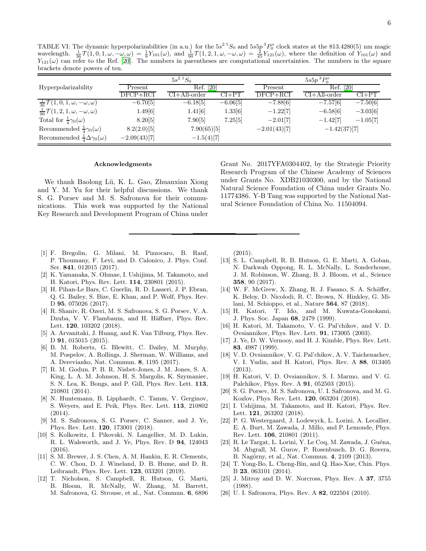<span id="page-5-24"></span>TABLE VI: The dynamic hyperpolarizabilities (in a.u.) for the  $5s^2 {^1S_0}$  and  $5s5p {^3P_0}$  clock states at the 813.4280(5) nm magic wavelength.  $\frac{1}{36} \mathcal{T}(1,0,1,\omega,-\omega,\omega) = \frac{1}{9} Y_{101}(\omega)$ , and  $\frac{1}{90} \mathcal{T}(1,2,1,\omega,-\$  $Y_{121}(\omega)$  can refer to the Ref. [\[20](#page-5-17)]. The numbers in parentheses are computational uncertainties. The numbers in the square brackets denote powers of ten.

|                                                        | $5s^2 S_0$     |                  |            | $5s5p~^3P_0^o$ |                |            |
|--------------------------------------------------------|----------------|------------------|------------|----------------|----------------|------------|
| Hyperpolarizability                                    | Present        | Ref. [20]        |            | Present        | Ref. [20]      |            |
|                                                        | $DFCP + RCI$   | $CI + All-order$ | $CI+PT$    | $DFCP + RCI$   | $CI+All-order$ | $CI+PT$    |
| $\frac{1}{36}\mathcal{T}(1,0,1,\omega,-\omega,\omega)$ | $-6.70[5]$     | $-6.18[5]$       | $-6.06[5]$ | $-7.88[6]$     | $-7.57[6]$     | $-7.50[6]$ |
| $\frac{1}{90}\mathcal{T}(1,2,1,\omega,-\omega,\omega)$ | 1.49[6]        | 1.41[6]          | 1.33[6]    | $-1.22[7]$     | $-6.58[6]$     | $-3.03[6]$ |
| Total for $\frac{1}{4}\gamma_0(\omega)$                | 8.20[5]        | 7.90[5]          | 7.25[5]    | $-2.01[7]$     | $-1.42[7]$     | $-1.05[7]$ |
| Recommended $\frac{1}{4}\gamma_0(\omega)$              | 8.2(2.0)[5]    | 7.90(65)[5]      |            | $-2.01(43)[7]$ | $-1.42(37)[7]$ |            |
| Recommended $\frac{1}{4}\Delta\gamma_0(\omega)$        | $-2.09(43)[7]$ | $-1.5(4)[7]$     |            |                |                |            |

#### Acknowledgments

We thank Baolong Lü, K. L. Gao, Zhuanxian Xiong and Y. M. Yu for their helpful discussions. We thank S. G. Porsev and M. S. Safronova for their communications. This work was supported by the National Key Research and Development Program of China under

- <span id="page-5-0"></span>[1] F. Bregolin, G. Milani, M. Pizzocaro, B. Rauf, P. Thoumany, F. Levi, and D. Calonico, J. Phys. Conf. Ser. 841, 012015 (2017).
- <span id="page-5-1"></span>[2] K. Yamanaka, N. Ohmae, I. Ushijima, M. Takamoto, and H. Katori, Phys. Rev. Lett. 114, 230801 (2015).
- <span id="page-5-2"></span>[3] H. Pihan-Le Bars, C. Guerlin, R. D. Lasseri, J. P. Ebran, Q. G. Bailey, S. Bize, E. Khan, and P. Wolf, Phys. Rev. D **95**, 075026 (2017).
- <span id="page-5-3"></span>[4] R. Shaniv, R. Ozeri, M. S. Safronova, S. G. Porsev, V. A. Dzuba, V. V. Flambaum, and H. Häffner, Phys. Rev. Lett. 120, 103202 (2018).
- <span id="page-5-4"></span>[5] A. Arvanitaki, J. Huang, and K. Van Tilburg, Phys. Rev. D 91, 015015 (2015).
- <span id="page-5-5"></span>[6] B. M. Roberts, G. Blewitt, C. Dailey, M. Murphy, M. Pospelov, A. Rollings, J. Sherman, W. Williams, and A. Derevianko, Nat. Commun. 8, 1195 (2017).
- <span id="page-5-6"></span>[7] R. M. Godun, P. B. R. Nisbet-Jones, J. M. Jones, S. A. King, L. A. M. Johnson, H. S. Margolis, K. Szymaniec, S. N. Lea, K. Bongs, and P. Gill, Phys. Rev. Lett. 113, 210801 (2014).
- [8] N. Huntemann, B. Lipphardt, C. Tamm, V. Gerginov, S. Weyers, and E. Peik, Phys. Rev. Lett. 113, 210802 (2014).
- <span id="page-5-7"></span>[9] M. S. Safronova, S. G. Porsev, C. Sanner, and J. Ye, Phys. Rev. Lett. 120, 173001 (2018).
- <span id="page-5-8"></span>[10] S. Kolkowitz, I. Pikovski, N. Langellier, M. D. Lukin, R. L. Walsworth, and J. Ye, Phys. Rev. D 94, 124043 (2016).
- <span id="page-5-9"></span>[11] S. M. Brewer, J. S. Chen, A. M. Hankin, E. R. Clements, C. W. Chou, D. J. Wineland, D. B. Hume, and D. R. Leibrandt, Phys. Rev. Lett. 123, 033201 (2019).
- <span id="page-5-10"></span>[12] T. Nicholson, S. Campbell, R. Hutson, G. Marti, B. Bloom, R. McNally, W. Zhang, M. Barrett, M. Safronova, G. Strouse, et al., Nat. Commun. 6, 6896

Research Program of the Chinese Academy of Sciences under Grants No. XDB21030300, and by the National Natural Science Foundation of China under Grants No. 11774386. Y-B Tang was supported by the National Natural Science Foundation of China No. 11504094.

Grant No. 2017YFA0304402, by the Strategic Priority

(2015).

- <span id="page-5-11"></span>[13] S. L. Campbell, R. B. Hutson, G. E. Marti, A. Goban, N. Darkwah Oppong, R. L. McNally, L. Sonderhouse, J. M. Robinson, W. Zhang, B. J. Bloom, et al., Science 358, 90 (2017).
- <span id="page-5-12"></span>[14] W. F. McGrew, X. Zhang, R. J. Fasano, S. A. Schäffer, K. Beloy, D. Nicolodi, R. C. Brown, N. Hinkley, G. Milani, M. Schioppo, et al., Nature 564, 87 (2018).
- <span id="page-5-13"></span>[15] H. Katori, T. Ido, and M. Kuwata-Gonokami, J. Phys. Soc. Japan 68, 2479 (1999).
- [16] H. Katori, M. Takamoto, V. G. Pal'chikov, and V. D. Ovsiannikov, Phys. Rev. Lett. 91, 173005 (2003).
- <span id="page-5-14"></span>[17] J. Ye, D. W. Vernooy, and H. J. Kimble, Phys. Rev. Lett. 83, 4987 (1999).
- <span id="page-5-15"></span>[18] V. D. Ovsiannikov, V. G. Pal'chikov, A. V. Taichenachev, V. I. Yudin, and H. Katori, Phys. Rev. A 88, 013405 (2013).
- <span id="page-5-20"></span>[19] H. Katori, V. D. Ovsiannikov, S. I. Marmo, and V. G. Palchikov, Phys. Rev. A 91, 052503 (2015).
- <span id="page-5-17"></span>[20] S. G. Porsev, M. S. Safronova, U. I. Safronova, and M. G. Kozlov, Phys. Rev. Lett. 120, 063204 (2018).
- <span id="page-5-16"></span>[21] I. Ushijima, M. Takamoto, and H. Katori, Phys. Rev. Lett. 121, 263202 (2018).
- <span id="page-5-18"></span>[22] P. G. Westergaard, J. Lodewyck, L. Lorini, A. Lecallier, E. A. Burt, M. Zawada, J. Millo, and P. Lemonde, Phys. Rev. Lett. 106, 210801 (2011).
- <span id="page-5-19"></span>[23] R. Le Targat, L. Lorini, Y. Le Coq, M. Zawada, J. Guéna, M. Abgrall, M. Gurov, P. Rosenbusch, D. G. Rovera, B. Nagórny, et al., Nat. Commun. 4, 2109 (2013).
- <span id="page-5-21"></span>[24] T. Yong-Bo, L. Cheng-Bin, and Q. Hao-Xue, Chin. Phys. B 23, 063101 (2014).
- <span id="page-5-22"></span>[25] J. Mitroy and D. W. Norcross, Phys. Rev. A 37, 3755 (1988).
- <span id="page-5-23"></span>[26] U. I. Safronova, Phys. Rev. A 82, 022504 (2010).